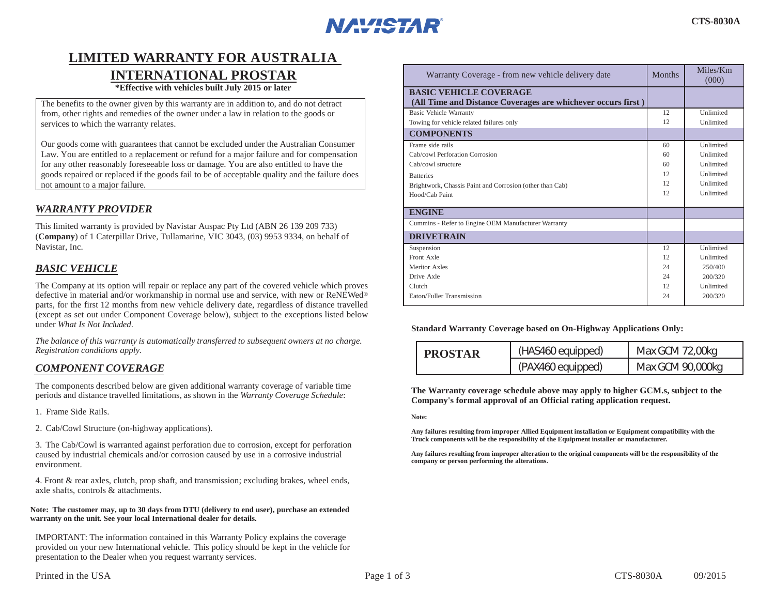

# **LIMITED WARRANTY FOR AUSTRALIA**

# **INTERNATIONAL PROSTAR**

**\*Effective with vehicles built July 2015 or later**

The benefits to the owner given by this warranty are in addition to, and do not detract from, other rights and remedies of the owner under a law in relation to the goods or services to which the warranty relates.

Our goods come with guarantees that cannot be excluded under the Australian Consumer Law. You are entitled to a replacement or refund for a major failure and for compensation for any other reasonably foreseeable loss or damage. You are also entitled to have the goods repaired or replaced if the goods fail to be of acceptable quality and the failure does not amount to a major failure.

# *WARRANTY PROVIDER*

This limited warranty is provided by Navistar Auspac Pty Ltd (ABN 26 139 209 733) (**Company**) of 1 Caterpillar Drive, Tullamarine, VIC 3043, (03) 9953 9334, on behalf of Navistar, Inc.

# *BASIC VEHICLE*

The Company at its option will repair or replace any part of the covered vehicle which proves defective in material and/or workmanship in normal use and service, with new or ReNEWed® parts, for the first 12 months from new vehicle delivery date, regardless of distance travelled (except as set out under Component Coverage below), subject to the exceptions listed below under *What Is Not Included*.

*The balance of this warranty is automatically transferred to subsequent owners at no charge. Registration conditions apply.*

# *COMPONENT COVERAGE*

The components described below are given additional warranty coverage of variable time periods and distance travelled limitations, as shown in the *Warranty Coverage Schedule*:

1. Frame Side Rails.

2. Cab/Cowl Structure (on-highway applications).

3. The Cab/Cowl is warranted against perforation due to corrosion, except for perforation caused by industrial chemicals and/or corrosion caused by use in a corrosive industrial environment.

4. Front & rear axles, clutch, prop shaft, and transmission; excluding brakes, wheel ends, axle shafts, controls & attachments.

#### **Note: The customer may, up to 30 days from DTU (delivery to end user), purchase an extended warranty on the unit. See your local International dealer for details.**

IMPORTANT: The information contained in this Warranty Policy explains the coverage provided on your new International vehicle. This policy should be kept in the vehicle for presentation to the Dealer when you request warranty services.

| Warranty Coverage - from new vehicle delivery date                                            | <b>Months</b> | Miles/Km<br>(000) |
|-----------------------------------------------------------------------------------------------|---------------|-------------------|
| <b>BASIC VEHICLE COVERAGE</b><br>(All Time and Distance Coverages are whichever occurs first) |               |                   |
| <b>Basic Vehicle Warranty</b>                                                                 | 12            | Unlimited         |
| Towing for vehicle related failures only                                                      | 12            | Unlimited         |
| <b>COMPONENTS</b>                                                                             |               |                   |
| Frame side rails                                                                              | 60            | Unlimited         |
| Cab/cowl Perforation Corrosion                                                                | 60            | <b>Unlimited</b>  |
| Cab/cowl structure                                                                            | 60            | <b>Unlimited</b>  |
| <b>Batteries</b>                                                                              | 12.           | <b>Unlimited</b>  |
| Brightwork, Chassis Paint and Corrosion (other than Cab)                                      | 12.           | <b>Unlimited</b>  |
| Hood/Cab Paint                                                                                | 12            | Unlimited         |
| <b>ENGINE</b>                                                                                 |               |                   |
| Cummins - Refer to Engine OEM Manufacturer Warranty                                           |               |                   |
| <b>DRIVETRAIN</b>                                                                             |               |                   |
| Suspension                                                                                    | 12            | Unlimited         |
| Front Axle                                                                                    | 12            | Unlimited         |
| Meritor Axles                                                                                 | 24            | 250/400           |
| Drive Axle                                                                                    | 24            | 200/320           |
| Clutch                                                                                        | 12.           | Unlimited         |
| Eaton/Fuller Transmission                                                                     | 24            | 200/320           |

**Standard Warranty Coverage based on On-Highway Applications Only:** 

| <b>PROSTAR</b> | (HAS460 equipped) | Max GCM 72,00kg  |
|----------------|-------------------|------------------|
|                | (PAX460 equipped) | Max GCM 90,000kg |

**The Warranty coverage schedule above may apply to higher GCM.s, subject to the Company's formal approval of an Official rating application request.**

**Note:**

**Any failures resulting from improper Allied Equipment installation or Equipment compatibility with the Truck components will be the responsibility of the Equipment installer or manufacturer.**

**Any failures resulting from improper alteration to the original components will be the responsibility of the company or person performing the alterations.**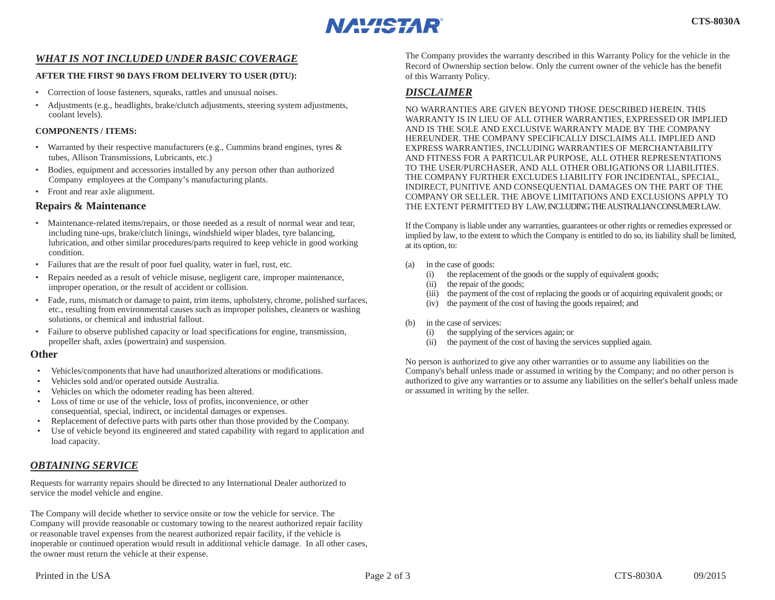

# *WHAT IS NOT INCLUDED UNDER BASIC COVERAGE*

#### **AFTER THE FIRST 90 DAYS FROM DELIVERY TO USER (DTU):**

- Correction of loose fasteners, squeaks, rattles and unusual noises.
- Adjustments (e.g., headlights, brake/clutch adjustments, steering system adjustments, coolant levels).

#### **COMPONENTS / ITEMS:**

- Warranted by their respective manufacturers (e.g., Cummins brand engines, tyres & tubes, Allison Transmissions, Lubricants, etc.)
- Bodies, equipment and accessories installed by any person other than authorized Company employees at the Company's manufacturing plants.
- Front and rear axle alignment.

#### **Repairs & Maintenance**

- Maintenance-related items/repairs, or those needed as a result of normal wear and tear, including tune-ups, brake/clutch linings, windshield wiper blades, tyre balancing, lubrication, and other similar procedures/parts required to keep vehicle in good working condition.
- Failures that are the result of poor fuel quality, water in fuel, rust, etc.
- Repairs needed as a result of vehicle misuse, negligent care, improper maintenance, improper operation, or the result of accident or collision.
- Fade, runs, mismatch or damage to paint, trim items, upholstery, chrome, polished surfaces, etc., resulting from environmental causes such as improper polishes, cleaners or washing solutions, or chemical and industrial fallout.
- Failure to observe published capacity or load specifications for engine, transmission, propeller shaft, axles (powertrain) and suspension.

#### **Other**

- Vehicles/components that have had unauthorized alterations or modifications.
- Vehicles sold and/or operated outside Australia.
- Vehicles on which the odometer reading has been altered.
- Loss of time or use of the vehicle, loss of profits, inconvenience, or other consequential, special, indirect, or incidental damages or expenses.
- Replacement of defective parts with parts other than those provided by the Company.
- Use of vehicle beyond its engineered and stated capability with regard to application and load capacity.

# *OBTAINING SERVICE*

Requests for warranty repairs should be directed to any International Dealer authorized to service the model vehicle and engine.

The Company will decide whether to service onsite or tow the vehicle for service. The Company will provide reasonable or customary towing to the nearest authorized repair facility or reasonable travel expenses from the nearest authorized repair facility, if the vehicle is inoperable or continued operation would result in additional vehicle damage. In all other cases, the owner must return the vehicle at their expense.

The Company provides the warranty described in this Warranty Policy for the vehicle in the Record of Ownership section below. Only the current owner of the vehicle has the benefit of this Warranty Policy.

# *DISCLAIMER*

NO WARRANTIES ARE GIVEN BEYOND THOSE DESCRIBED HEREIN. THIS WARRANTY IS IN LIEU OF ALL OTHER WARRANTIES, EXPRESSED OR IMPLIED AND IS THE SOLE AND EXCLUSIVE WARRANTY MADE BY THE COMPANY HEREUNDER. THE COMPANY SPECIFICALLY DISCLAIMS ALL IMPLIED AND EXPRESS WARRANTIES, INCLUDING WARRANTIES OF MERCHANTABILITY AND FITNESS FOR A PARTICULAR PURPOSE, ALL OTHER REPRESENTATIONS TO THE USER/PURCHASER, AND ALL OTHER OBLIGATIONS OR LIABILITIES. THE COMPANY FURTHER EXCLUDES LIABILITY FOR INCIDENTAL, SPECIAL, INDIRECT, PUNITIVE AND CONSEQUENTIAL DAMAGES ON THE PART OF THE COMPANY OR SELLER. THE ABOVE LIMITATIONS AND EXCLUSIONS APPLY TO THE EXTENT PERMITTED BY LAW, INCLUDING THE AUSTRALIAN CONSUMER LAW.

If the Company is liable under any warranties, guarantees or other rights or remedies expressed or implied by law, to the extent to which the Company is entitled to do so, its liability shall be limited, at its option, to:

- (a) in the case of goods:
	- (i) the replacement of the goods or the supply of equivalent goods;
	- (ii) the repair of the goods;
	- (iii) the payment of the cost of replacing the goods or of acquiring equivalent goods; or
	- (iv) the payment of the cost of having the goods repaired; and
- (b) in the case of services:
	- (i) the supplying of the services again; or
	- (ii) the payment of the cost of having the services supplied again.

No person is authorized to give any other warranties or to assume any liabilities on the Company's behalf unless made or assumed in writing by the Company; and no other person is authorized to give any warranties or to assume any liabilities on the seller's behalf unless made or assumed in writing by the seller.